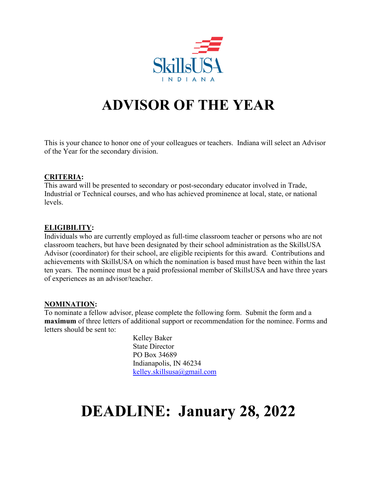

## **ADVISOR OF THE YEAR**

This is your chance to honor one of your colleagues or teachers. Indiana will select an Advisor of the Year for the secondary division.

### **CRITERIA:**

This award will be presented to secondary or post-secondary educator involved in Trade, Industrial or Technical courses, and who has achieved prominence at local, state, or national levels.

### **ELIGIBILITY:**

Individuals who are currently employed as full-time classroom teacher or persons who are not classroom teachers, but have been designated by their school administration as the SkillsUSA Advisor (coordinator) for their school, are eligible recipients for this award. Contributions and achievements with SkillsUSA on which the nomination is based must have been within the last ten years. The nominee must be a paid professional member of SkillsUSA and have three years of experiences as an advisor/teacher.

### **NOMINATION:**

To nominate a fellow advisor, please complete the following form. Submit the form and a **maximum** of three letters of additional support or recommendation for the nominee. Forms and letters should be sent to:

> Kelley Baker State Director PO Box 34689 Indianapolis, IN 46234 [kelley.skillsusa@gmail.com](mailto:kelley.skillsusa@gmail.com)

# **DEADLINE: January 28, 2022**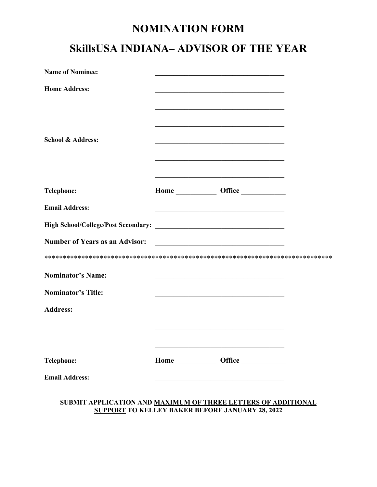### **NOMINATION FORM**

## **SkillsUSA INDIANA– ADVISOR OF THE YEAR**

| <b>Name of Nominee:</b>               |  |                                                                                                                                            |  |
|---------------------------------------|--|--------------------------------------------------------------------------------------------------------------------------------------------|--|
| <b>Home Address:</b>                  |  |                                                                                                                                            |  |
| <b>School &amp; Address:</b>          |  |                                                                                                                                            |  |
| <b>Telephone:</b>                     |  | <u> 1989 - Johann John Harry, mars and deutscher Schwarzer und der Schwarzer und der Schwarzer und der Schwarzer</u><br>Home <b>Office</b> |  |
| <b>Email Address:</b>                 |  |                                                                                                                                            |  |
|                                       |  |                                                                                                                                            |  |
| <b>Number of Years as an Advisor:</b> |  |                                                                                                                                            |  |
|                                       |  |                                                                                                                                            |  |
| <b>Nominator's Name:</b>              |  |                                                                                                                                            |  |
| <b>Nominator's Title:</b>             |  |                                                                                                                                            |  |
| <b>Address:</b>                       |  |                                                                                                                                            |  |
|                                       |  |                                                                                                                                            |  |
|                                       |  | <u> 1989 - Johann Barbara, margaret eta idazlea (h. 1989).</u>                                                                             |  |
| <b>Telephone:</b>                     |  | Home ______________ Office ______________                                                                                                  |  |
| <b>Email Address:</b>                 |  |                                                                                                                                            |  |

#### **SUBMIT APPLICATION AND MAXIMUM OF THREE LETTERS OF ADDITIONAL SUPPORT TO KELLEY BAKER BEFORE JANUARY 28, 2022**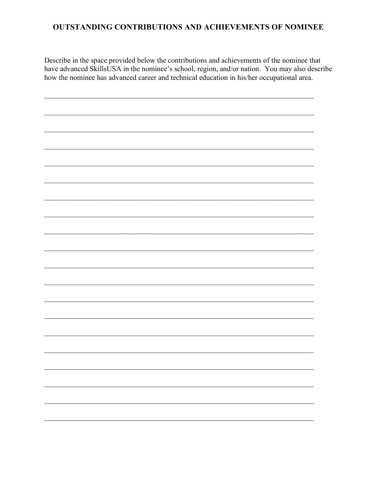### **OUTSTANDING CONTRIBUTIONS AND ACHIEVEMENTS OF NOMINEE**

Describe in the space provided below the contributions and achievements of the nominee that have advanced SkillsUSA in the nominee's school, region, and/or nation. You may also describe how the nominee has advanced career and technical education in his/her occupational area.